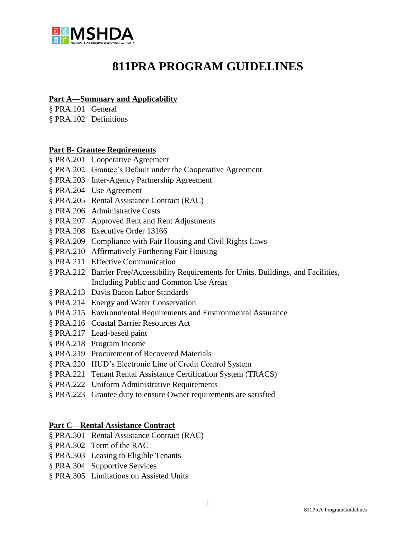

# **811PRA PROGRAM GUIDELINES**

#### **[Part A—Summary and Applicability](http://ecfr.gpoaccess.gov/cgi/t/text/text-idx?c=ecfr&sid=df96d2e309c233840f20582727e09efb&rgn=div5&view=text&node=24:4.0.2.1.4&idno=24#24:4.0.2.1.4.1)**

[§ PRA.101 General](http://ecfr.gpoaccess.gov/cgi/t/text/text-idx?c=ecfr&sid=df96d2e309c233840f20582727e09efb&rgn=div5&view=text&node=24:4.0.2.1.4&idno=24#24:4.0.2.1.4.1.1.1) 

§ PRA.102 Definitions

#### **Part B- Grantee Requirements**

- § PRA.201 Cooperative Agreement
- § PRA.202 Grantee's Default under the Cooperative Agreement
- § PRA.203 Inter-Agency Partnership Agreement
- § PRA.204 Use Agreement
- § PRA.205 Rental Assistance Contract (RAC)
- § PRA.206 Administrative Costs
- § PRA.207 Approved Rent and Rent Adjustments
- § PRA.208 Executive Order 13166
- § PRA.209 Compliance with Fair Housing and Civil Rights Laws
- § PRA.210 Affirmatively Furthering Fair Housing
- § PRA.211 Effective Communication
- § PRA.212 Barrier Free/Accessibility Requirements for Units, Buildings, and Facilities, Including Public and Common Use Areas
- § PRA.213 Davis Bacon Labor Standards
- § PRA.214 Energy and Water Conservation
- § PRA.215 Environmental Requirements and Environmental Assurance
- § PRA.216 Coastal Barrier Resources Act
- § PRA.217 Lead-based paint
- § PRA.218 Program Income
- § PRA.219 Procurement of Recovered Materials
- § PRA.220 HUD's Electronic Line of Credit Control System
- § PRA.221 Tenant Rental Assistance Certification System (TRACS)
- § PRA.222 Uniform Administrative Requirements
- § PRA.223 Grantee duty to ensure Owner requirements are satisfied

#### **[Part C—Rental Assistance Contract](http://ecfr.gpoaccess.gov/cgi/t/text/text-idx?c=ecfr&sid=df96d2e309c233840f20582727e09efb&rgn=div5&view=text&node=24:4.0.2.1.4&idno=24#24:4.0.2.1.4.4)**

- § PRA.301 Rental Assistance Contract (RAC)
- § PRA.302 Term of the RAC
- § PRA.303 Leasing to Eligible Tenants
- § PRA.304 Supportive Services
- § PRA.305 Limitations on Assisted Units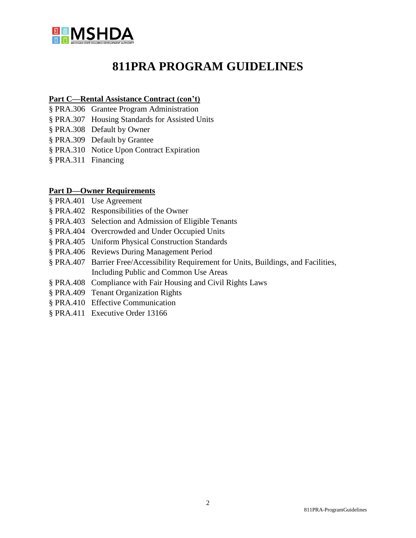

# **811PRA PROGRAM GUIDELINES**

#### **[Part C—](http://ecfr.gpoaccess.gov/cgi/t/text/text-idx?c=ecfr&sid=df96d2e309c233840f20582727e09efb&rgn=div5&view=text&node=24:4.0.2.1.4&idno=24#24:4.0.2.1.4.1)[Rental Assistance Contract](http://ecfr.gpoaccess.gov/cgi/t/text/text-idx?c=ecfr&sid=df96d2e309c233840f20582727e09efb&rgn=div5&view=text&node=24:4.0.2.1.4&idno=24#24:4.0.2.1.4.4) (con't[\)](http://ecfr.gpoaccess.gov/cgi/t/text/text-idx?c=ecfr&sid=df96d2e309c233840f20582727e09efb&rgn=div5&view=text&node=24:4.0.2.1.4&idno=24#24:4.0.2.1.4.1)**

- § PRA.306 Grantee Program Administration
- § PRA.307 Housing Standards for Assisted Units
- § PRA.308 Default by Owner
- § PRA.309 Default by Grantee
- § PRA.310 Notice Upon Contract Expiration
- § PRA.311 Financing

#### **[Part D—Owner Requirements](http://ecfr.gpoaccess.gov/cgi/t/text/text-idx?c=ecfr&sid=df96d2e309c233840f20582727e09efb&rgn=div5&view=text&node=24:4.0.2.1.4&idno=24#24:4.0.2.1.4.5)**

- § PRA.401 Use Agreement
- § PRA.402 Responsibilities of the Owner
- § PRA.403 Selection and Admission of Eligible Tenants
- § PRA.404 Overcrowded and Under Occupied Units
- § PRA.405 Uniform Physical Construction Standards
- [§ PRA.406 Reviews During Management Period](http://ecfr.gpoaccess.gov/cgi/t/text/text-idx?c=ecfr&sid=df96d2e309c233840f20582727e09efb&rgn=div5&view=text&node=24:4.0.2.1.4&idno=24#24:4.0.2.1.4.5.1.12)
- § PRA.407 Barrier Free/Accessibility Requirement for Units, Buildings, and Facilities, Including Public and Common Use Areas
- § PRA.408 Compliance with Fair Housing and Civil Rights Laws
- § PRA.409 Tenant Organization Rights
- § PRA.410 Effective Communication
- § PRA.411 Executive Order 13166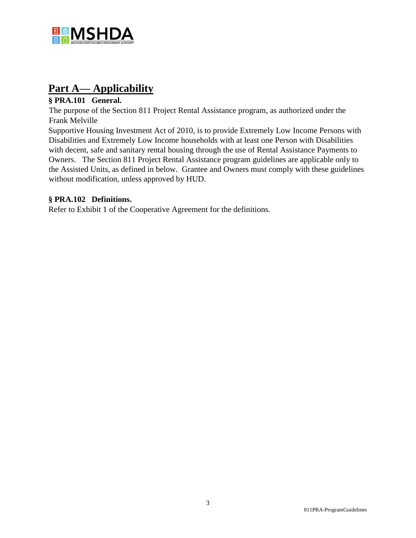

# **Part A— Applicability**

# **§ PRA.101 General.**

The purpose of the Section 811 Project Rental Assistance program, as authorized under the Frank Melville

Supportive Housing Investment Act of 2010, is to provide Extremely Low Income Persons with Disabilities and Extremely Low Income households with at least one Person with Disabilities with decent, safe and sanitary rental housing through the use of Rental Assistance Payments to Owners. The Section 811 Project Rental Assistance program guidelines are applicable only to the Assisted Units, as defined in below. Grantee and Owners must comply with these guidelines without modification, unless approved by HUD.

# **§ PRA.102 Definitions.**

Refer to Exhibit 1 of the Cooperative Agreement for the definitions.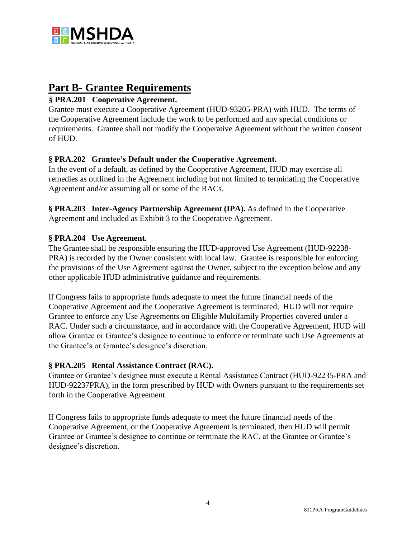

# **Part B- Grantee Requirements**

# **§ PRA.201 Cooperative Agreement.**

Grantee must execute a Cooperative Agreement (HUD-93205-PRA) with HUD. The terms of the Cooperative Agreement include the work to be performed and any special conditions or requirements. Grantee shall not modify the Cooperative Agreement without the written consent of HUD.

# **§ PRA.202 Grantee's Default under the Cooperative Agreement.**

In the event of a default, as defined by the Cooperative Agreement, HUD may exercise all remedies as outlined in the Agreement including but not limited to terminating the Cooperative Agreement and/or assuming all or some of the RACs.

**§ PRA.203 Inter-Agency Partnership Agreement (IPA).** As defined in the Cooperative Agreement and included as Exhibit 3 to the Cooperative Agreement.

# **§ PRA.204 Use Agreement.**

The Grantee shall be responsible ensuring the HUD-approved Use Agreement (HUD-92238- PRA) is recorded by the Owner consistent with local law. Grantee is responsible for enforcing the provisions of the Use Agreement against the Owner, subject to the exception below and any other applicable HUD administrative guidance and requirements.

If Congress fails to appropriate funds adequate to meet the future financial needs of the Cooperative Agreement and the Cooperative Agreement is terminated, HUD will not require Grantee to enforce any Use Agreements on Eligible Multifamily Properties covered under a RAC. Under such a circumstance, and in accordance with the Cooperative Agreement, HUD will allow Grantee or Grantee's designee to continue to enforce or terminate such Use Agreements at the Grantee's or Grantee's designee's discretion.

# **§ PRA.205 Rental Assistance Contract (RAC).**

Grantee or Grantee's designee must execute a Rental Assistance Contract (HUD-92235-PRA and HUD-92237PRA), in the form prescribed by HUD with Owners pursuant to the requirements set forth in the Cooperative Agreement.

If Congress fails to appropriate funds adequate to meet the future financial needs of the Cooperative Agreement, or the Cooperative Agreement is terminated, then HUD will permit Grantee or Grantee's designee to continue or terminate the RAC, at the Grantee or Grantee's designee's discretion.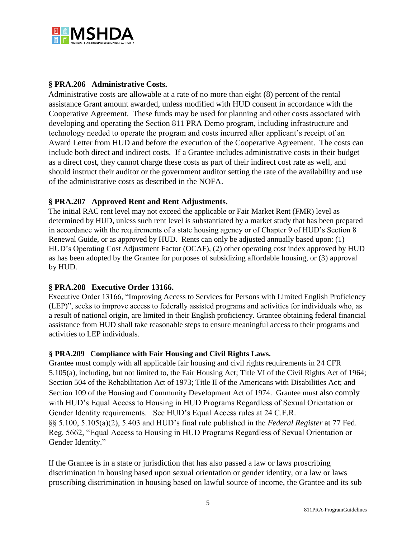

# **§ PRA.206 Administrative Costs.**

Administrative costs are allowable at a rate of no more than eight (8) percent of the rental assistance Grant amount awarded, unless modified with HUD consent in accordance with the Cooperative Agreement. These funds may be used for planning and other costs associated with developing and operating the Section 811 PRA Demo program, including infrastructure and technology needed to operate the program and costs incurred after applicant's receipt of an Award Letter from HUD and before the execution of the Cooperative Agreement. The costs can include both direct and indirect costs. If a Grantee includes administrative costs in their budget as a direct cost, they cannot charge these costs as part of their indirect cost rate as well, and should instruct their auditor or the government auditor setting the rate of the availability and use of the administrative costs as described in the NOFA.

# **§ PRA.207 Approved Rent and Rent Adjustments.**

The initial RAC rent level may not exceed the applicable or Fair Market Rent (FMR) level as determined by HUD, unless such rent level is substantiated by a market study that has been prepared in accordance with the requirements of a state housing agency or of Chapter 9 of HUD's Section 8 Renewal Guide, or as approved by HUD. Rents can only be adjusted annually based upon: (1) HUD's Operating Cost Adjustment Factor (OCAF), (2) other operating cost index approved by HUD as has been adopted by the Grantee for purposes of subsidizing affordable housing, or (3) approval by HUD.

#### **§ PRA.208 Executive Order 13166.**

Executive Order 13166, "Improving Access to Services for Persons with Limited English Proficiency (LEP)", seeks to improve access to federally assisted programs and activities for individuals who, as a result of national origin, are limited in their English proficiency. Grantee obtaining federal financial assistance from HUD shall take reasonable steps to ensure meaningful access to their programs and activities to LEP individuals.

#### **§ PRA.209 Compliance with Fair Housing and Civil Rights Laws.**

Grantee must comply with all applicable fair housing and civil rights requirements in 24 CFR 5.105(a), including, but not limited to, the Fair Housing Act; Title VI of the Civil Rights Act of 1964; Section 504 of the Rehabilitation Act of 1973; Title II of the Americans with Disabilities Act; and Section 109 of the Housing and Community Development Act of 1974. Grantee must also comply with HUD's Equal Access to Housing in HUD Programs Regardless of Sexual Orientation or Gender Identity requirements. See HUD's Equal Access rules at 24 C.F.R. §§ 5.100, 5.105(a)(2), 5.403 and HUD's final rule published in the *Federal Register* at 77 Fed. Reg. 5662, "Equal Access to Housing in HUD Programs Regardless of Sexual Orientation or Gender Identity."

If the Grantee is in a state or jurisdiction that has also passed a law or laws proscribing discrimination in housing based upon sexual orientation or gender identity, or a law or laws proscribing discrimination in housing based on lawful source of income, the Grantee and its sub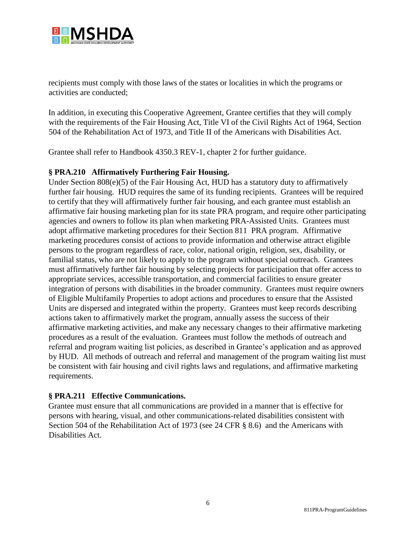

recipients must comply with those laws of the states or localities in which the programs or activities are conducted;

In addition, in executing this Cooperative Agreement, Grantee certifies that they will comply with the requirements of the Fair Housing Act, Title VI of the Civil Rights Act of 1964, Section 504 of the Rehabilitation Act of 1973, and Title II of the Americans with Disabilities Act.

Grantee shall refer to Handbook 4350.3 REV-1, chapter 2 for further guidance.

# **§ PRA.210 Affirmatively Furthering Fair Housing.**

Under Section 808(e)(5) of the Fair Housing Act, HUD has a statutory duty to affirmatively further fair housing. HUD requires the same of its funding recipients. Grantees will be required to certify that they will affirmatively further fair housing, and each grantee must establish an affirmative fair housing marketing plan for its state PRA program, and require other participating agencies and owners to follow its plan when marketing PRA-Assisted Units. Grantees must adopt affirmative marketing procedures for their Section 811 PRA program. Affirmative marketing procedures consist of actions to provide information and otherwise attract eligible persons to the program regardless of race, color, national origin, religion, sex, disability, or familial status, who are not likely to apply to the program without special outreach. Grantees must affirmatively further fair housing by selecting projects for participation that offer access to appropriate services, accessible transportation, and commercial facilities to ensure greater integration of persons with disabilities in the broader community. Grantees must require owners of Eligible Multifamily Properties to adopt actions and procedures to ensure that the Assisted Units are dispersed and integrated within the property. Grantees must keep records describing actions taken to affirmatively market the program, annually assess the success of their affirmative marketing activities, and make any necessary changes to their affirmative marketing procedures as a result of the evaluation. Grantees must follow the methods of outreach and referral and program waiting list policies, as described in Grantee's application and as approved by HUD. All methods of outreach and referral and management of the program waiting list must be consistent with fair housing and civil rights laws and regulations, and affirmative marketing requirements.

# **§ PRA.211 Effective Communications.**

Grantee must ensure that all communications are provided in a manner that is effective for persons with hearing, visual, and other communications-related disabilities consistent with Section 504 of the Rehabilitation Act of 1973 (see 24 CFR § 8.6) and the Americans with Disabilities Act.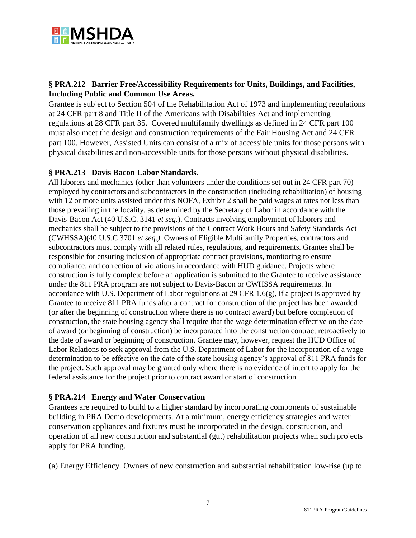

# **§ PRA.212 Barrier Free/Accessibility Requirements for Units, Buildings, and Facilities, Including Public and Common Use Areas.**

Grantee is subject to Section 504 of the Rehabilitation Act of 1973 and implementing regulations at 24 CFR part 8 and Title II of the Americans with Disabilities Act and implementing regulations at 28 CFR part 35. Covered multifamily dwellings as defined in 24 CFR part 100 must also meet the design and construction requirements of the Fair Housing Act and 24 CFR part 100. However, Assisted Units can consist of a mix of accessible units for those persons with physical disabilities and non-accessible units for those persons without physical disabilities.

# **§ PRA.213 Davis Bacon Labor Standards.**

All laborers and mechanics (other than volunteers under the conditions set out in 24 CFR part 70) employed by contractors and subcontractors in the construction (including rehabilitation) of housing with 12 or more units assisted under this NOFA, Exhibit 2 shall be paid wages at rates not less than those prevailing in the locality, as determined by the Secretary of Labor in accordance with the Davis-Bacon Act (40 U.S.C. 3141 *et seq.*). Contracts involving employment of laborers and mechanics shall be subject to the provisions of the Contract Work Hours and Safety Standards Act (CWHSSA)(40 U.S.C 3701 *et seq.).* Owners of Eligible Multifamily Properties, contractors and subcontractors must comply with all related rules, regulations, and requirements. Grantee shall be responsible for ensuring inclusion of appropriate contract provisions, monitoring to ensure compliance, and correction of violations in accordance with HUD guidance. Projects where construction is fully complete before an application is submitted to the Grantee to receive assistance under the 811 PRA program are not subject to Davis-Bacon or CWHSSA requirements. In accordance with U.S. Department of Labor regulations at 29 CFR 1.6(g), if a project is approved by Grantee to receive 811 PRA funds after a contract for construction of the project has been awarded (or after the beginning of construction where there is no contract award) but before completion of construction, the state housing agency shall require that the wage determination effective on the date of award (or beginning of construction) be incorporated into the construction contract retroactively to the date of award or beginning of construction. Grantee may, however, request the HUD Office of Labor Relations to seek approval from the U.S. Department of Labor for the incorporation of a wage determination to be effective on the date of the state housing agency's approval of 811 PRA funds for the project. Such approval may be granted only where there is no evidence of intent to apply for the federal assistance for the project prior to contract award or start of construction.

# **§ PRA.214 Energy and Water Conservation**

Grantees are required to build to a higher standard by incorporating components of sustainable building in PRA Demo developments. At a minimum, energy efficiency strategies and water conservation appliances and fixtures must be incorporated in the design, construction, and operation of all new construction and substantial (gut) rehabilitation projects when such projects apply for PRA funding.

(a) Energy Efficiency. Owners of new construction and substantial rehabilitation low-rise (up to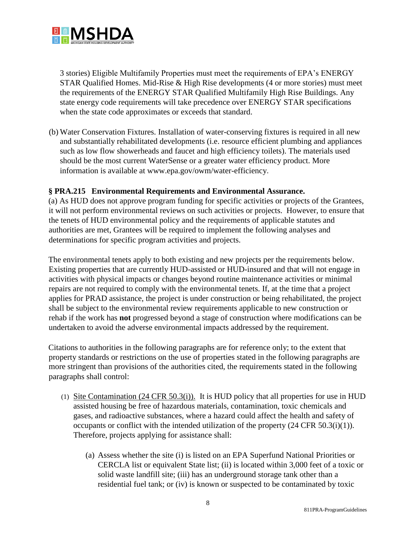

3 stories) Eligible Multifamily Properties must meet the requirements of EPA's ENERGY STAR Qualified Homes. Mid-Rise & High Rise developments (4 or more stories) must meet the requirements of the ENERGY STAR Qualified Multifamily High Rise Buildings. Any state energy code requirements will take precedence over ENERGY STAR specifications when the state code approximates or exceeds that standard.

(b) Water Conservation Fixtures. Installation of water-conserving fixtures is required in all new and substantially rehabilitated developments (i.e. resource efficient plumbing and appliances such as low flow showerheads and faucet and high efficiency toilets). The materials used should be the most current WaterSense or a greater water efficiency product. More information is available at www.epa.gov/owm/water-efficiency.

# **§ PRA.215 Environmental Requirements and Environmental Assurance.**

(a) As HUD does not approve program funding for specific activities or projects of the Grantees, it will not perform environmental reviews on such activities or projects. However, to ensure that the tenets of HUD environmental policy and the requirements of applicable statutes and authorities are met, Grantees will be required to implement the following analyses and determinations for specific program activities and projects.

The environmental tenets apply to both existing and new projects per the requirements below. Existing properties that are currently HUD-assisted or HUD-insured and that will not engage in activities with physical impacts or changes beyond routine maintenance activities or minimal repairs are not required to comply with the environmental tenets. If, at the time that a project applies for PRAD assistance, the project is under construction or being rehabilitated, the project shall be subject to the environmental review requirements applicable to new construction or rehab if the work has **not** progressed beyond a stage of construction where modifications can be undertaken to avoid the adverse environmental impacts addressed by the requirement.

Citations to authorities in the following paragraphs are for reference only; to the extent that property standards or restrictions on the use of properties stated in the following paragraphs are more stringent than provisions of the authorities cited, the requirements stated in the following paragraphs shall control:

- (1) Site Contamination (24 CFR 50.3(i)). It is HUD policy that all properties for use in HUD assisted housing be free of hazardous materials, contamination, toxic chemicals and gases, and radioactive substances, where a hazard could affect the health and safety of occupants or conflict with the intended utilization of the property (24 CFR 50.3(i)(1)). Therefore, projects applying for assistance shall:
	- (a) Assess whether the site (i) is listed on an EPA Superfund National Priorities or CERCLA list or equivalent State list; (ii) is located within 3,000 feet of a toxic or solid waste landfill site; (iii) has an underground storage tank other than a residential fuel tank; or (iv) is known or suspected to be contaminated by toxic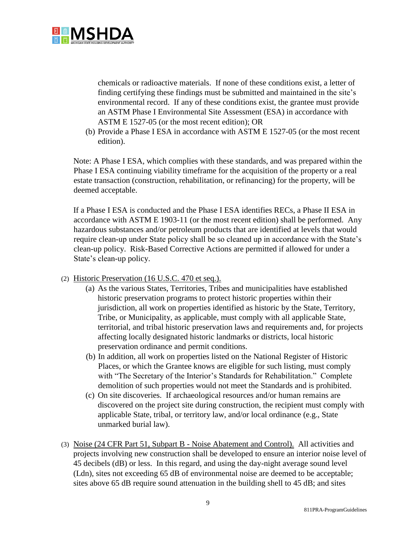

chemicals or radioactive materials. If none of these conditions exist, a letter of finding certifying these findings must be submitted and maintained in the site's environmental record. If any of these conditions exist, the grantee must provide an ASTM Phase I Environmental Site Assessment (ESA) in accordance with ASTM E 1527-05 (or the most recent edition); OR

(b) Provide a Phase I ESA in accordance with ASTM E 1527-05 (or the most recent edition).

Note: A Phase I ESA, which complies with these standards, and was prepared within the Phase I ESA continuing viability timeframe for the acquisition of the property or a real estate transaction (construction, rehabilitation, or refinancing) for the property, will be deemed acceptable.

If a Phase I ESA is conducted and the Phase I ESA identifies RECs, a Phase II ESA in accordance with ASTM E 1903-11 (or the most recent edition) shall be performed. Any hazardous substances and/or petroleum products that are identified at levels that would require clean-up under State policy shall be so cleaned up in accordance with the State's clean-up policy. Risk-Based Corrective Actions are permitted if allowed for under a State's clean-up policy.

- (2) Historic Preservation (16 U.S.C. 470 et seq.).
	- (a) As the various States, Territories, Tribes and municipalities have established historic preservation programs to protect historic properties within their jurisdiction, all work on properties identified as historic by the State, Territory, Tribe, or Municipality, as applicable, must comply with all applicable State, territorial, and tribal historic preservation laws and requirements and, for projects affecting locally designated historic landmarks or districts, local historic preservation ordinance and permit conditions.
	- (b) In addition, all work on properties listed on the National Register of Historic Places, or which the Grantee knows are eligible for such listing, must comply with "The Secretary of the Interior's Standards for Rehabilitation." Complete demolition of such properties would not meet the Standards and is prohibited.
	- (c) On site discoveries. If archaeological resources and/or human remains are discovered on the project site during construction, the recipient must comply with applicable State, tribal, or territory law, and/or local ordinance (e.g., State unmarked burial law).
- (3) Noise (24 CFR Part 51, Subpart B Noise Abatement and Control). All activities and projects involving new construction shall be developed to ensure an interior noise level of 45 decibels (dB) or less. In this regard, and using the day-night average sound level (Ldn), sites not exceeding 65 dB of environmental noise are deemed to be acceptable; sites above 65 dB require sound attenuation in the building shell to 45 dB; and sites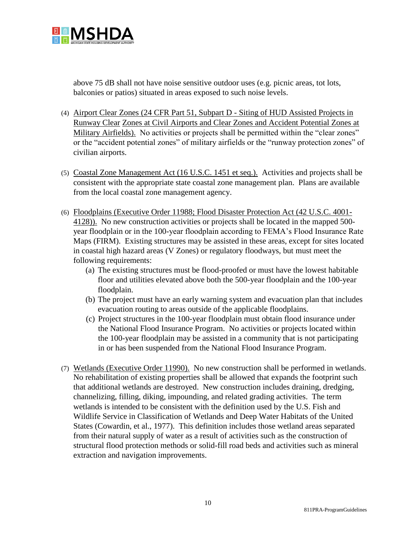

above 75 dB shall not have noise sensitive outdoor uses (e.g. picnic areas, tot lots, balconies or patios) situated in areas exposed to such noise levels.

- (4) Airport Clear Zones (24 CFR Part 51, Subpart D Siting of HUD Assisted Projects in Runway Clear Zones at Civil Airports and Clear Zones and Accident Potential Zones at Military Airfields). No activities or projects shall be permitted within the "clear zones" or the "accident potential zones" of military airfields or the "runway protection zones" of civilian airports.
- (5) Coastal Zone Management Act (16 U.S.C. 1451 et seq.). Activities and projects shall be consistent with the appropriate state coastal zone management plan. Plans are available from the local coastal zone management agency.
- (6) Floodplains (Executive Order 11988; Flood Disaster Protection Act (42 U.S.C. 4001- 4128)). No new construction activities or projects shall be located in the mapped 500 year floodplain or in the 100-year floodplain according to FEMA's Flood Insurance Rate Maps (FIRM). Existing structures may be assisted in these areas, except for sites located in coastal high hazard areas (V Zones) or regulatory floodways, but must meet the following requirements:
	- (a) The existing structures must be flood-proofed or must have the lowest habitable floor and utilities elevated above both the 500-year floodplain and the 100-year floodplain.
	- (b) The project must have an early warning system and evacuation plan that includes evacuation routing to areas outside of the applicable floodplains.
	- (c) Project structures in the 100-year floodplain must obtain flood insurance under the National Flood Insurance Program. No activities or projects located within the 100-year floodplain may be assisted in a community that is not participating in or has been suspended from the National Flood Insurance Program.
- (7) Wetlands (Executive Order 11990). No new construction shall be performed in wetlands. No rehabilitation of existing properties shall be allowed that expands the footprint such that additional wetlands are destroyed. New construction includes draining, dredging, channelizing, filling, diking, impounding, and related grading activities. The term wetlands is intended to be consistent with the definition used by the U.S. Fish and Wildlife Service in Classification of Wetlands and Deep Water Habitats of the United States (Cowardin, et al., 1977). This definition includes those wetland areas separated from their natural supply of water as a result of activities such as the construction of structural flood protection methods or solid-fill road beds and activities such as mineral extraction and navigation improvements.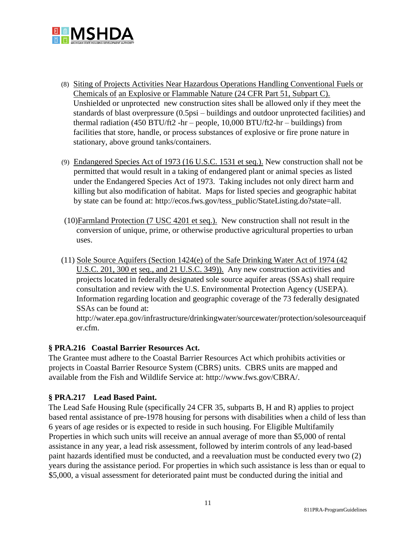

- (8) Siting of Projects Activities Near Hazardous Operations Handling Conventional Fuels or Chemicals of an Explosive or Flammable Nature (24 CFR Part 51, Subpart C). Unshielded or unprotected new construction sites shall be allowed only if they meet the standards of blast overpressure (0.5psi – buildings and outdoor unprotected facilities) and thermal radiation (450 BTU/ft2 -hr – people, 10,000 BTU/ft2-hr – buildings) from facilities that store, handle, or process substances of explosive or fire prone nature in stationary, above ground tanks/containers.
- (9) Endangered Species Act of 1973 (16 U.S.C. 1531 et seq.). New construction shall not be permitted that would result in a taking of endangered plant or animal species as listed under the Endangered Species Act of 1973. Taking includes not only direct harm and killing but also modification of habitat. Maps for listed species and geographic habitat by state can be found at: [http://ecos.fws.gov/tess\\_public/StateListing.do?state=all.](http://ecos.fws.gov/tess_public/StateListing.do?state=all)
- (10)Farmland Protection (7 USC 4201 et seq.). New construction shall not result in the conversion of unique, prime, or otherwise productive agricultural properties to urban uses.
- (11) Sole Source Aquifers (Section 1424(e) of the Safe Drinking Water Act of 1974 (42 U.S.C. 201, 300 et seq., and 21 U.S.C. 349)). Any new construction activities and projects located in federally designated sole source aquifer areas (SSAs) shall require consultation and review with the U.S. Environmental Protection Agency (USEPA). Information regarding location and geographic coverage of the 73 federally designated SSAs can be found at:

[http://water.epa.gov/infrastructure/drinkingwater/sourcewater/protection/solesourceaquif](http://water.epa.gov/infrastructure/drinkingwater/sourcewater/protection/solesourceaquifer.cfm) [er.cfm.](http://water.epa.gov/infrastructure/drinkingwater/sourcewater/protection/solesourceaquifer.cfm)

# **§ PRA.216 Coastal Barrier Resources Act.**

The Grantee must adhere to the Coastal Barrier Resources Act which prohibits activities or projects in Coastal Barrier Resource System (CBRS) units. CBRS units are mapped and available from the Fish and Wildlife Service at: [http://www.fws.gov/CBRA/.](http://www.fws.gov/CBRA/)

# **§ PRA.217 Lead Based Paint.**

The Lead Safe Housing Rule (specifically 24 CFR 35, subparts B, H and R) applies to project based rental assistance of pre-1978 housing for persons with disabilities when a child of less than 6 years of age resides or is expected to reside in such housing. For Eligible Multifamily Properties in which such units will receive an annual average of more than \$5,000 of rental assistance in any year, a lead risk assessment, followed by interim controls of any lead-based paint hazards identified must be conducted, and a reevaluation must be conducted every two (2) years during the assistance period. For properties in which such assistance is less than or equal to \$5,000, a visual assessment for deteriorated paint must be conducted during the initial and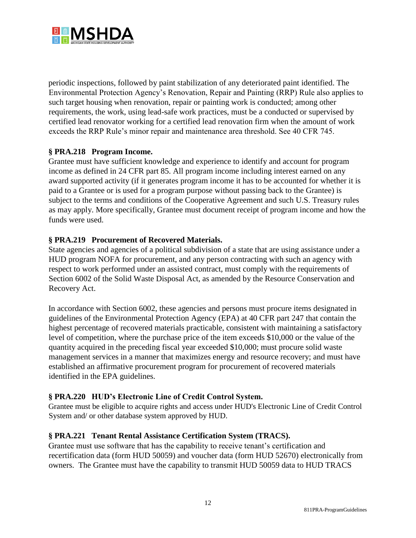

periodic inspections, followed by paint stabilization of any deteriorated paint identified. The Environmental Protection Agency's Renovation, Repair and Painting (RRP) Rule also applies to such target housing when renovation, repair or painting work is conducted; among other requirements, the work, using lead-safe work practices, must be a conducted or supervised by certified lead renovator working for a certified lead renovation firm when the amount of work exceeds the RRP Rule's minor repair and maintenance area threshold. See 40 CFR 745.

# **§ PRA.218 Program Income.**

Grantee must have sufficient knowledge and experience to identify and account for program income as defined in 24 CFR part 85. All program income including interest earned on any award supported activity (if it generates program income it has to be accounted for whether it is paid to a Grantee or is used for a program purpose without passing back to the Grantee) is subject to the terms and conditions of the Cooperative Agreement and such U.S. Treasury rules as may apply. More specifically, Grantee must document receipt of program income and how the funds were used.

# **§ PRA.219 Procurement of Recovered Materials.**

State agencies and agencies of a political subdivision of a state that are using assistance under a HUD program NOFA for procurement, and any person contracting with such an agency with respect to work performed under an assisted contract, must comply with the requirements of Section 6002 of the Solid Waste Disposal Act, as amended by the Resource Conservation and Recovery Act.

In accordance with Section 6002, these agencies and persons must procure items designated in guidelines of the Environmental Protection Agency (EPA) at 40 CFR part 247 that contain the highest percentage of recovered materials practicable, consistent with maintaining a satisfactory level of competition, where the purchase price of the item exceeds \$10,000 or the value of the quantity acquired in the preceding fiscal year exceeded \$10,000; must procure solid waste management services in a manner that maximizes energy and resource recovery; and must have established an affirmative procurement program for procurement of recovered materials identified in the EPA guidelines.

# **§ PRA.220 HUD's Electronic Line of Credit Control System.**

Grantee must be eligible to acquire rights and access under HUD's Electronic Line of Credit Control System and/ or other database system approved by HUD.

# **§ PRA.221 Tenant Rental Assistance Certification System (TRACS).**

Grantee must use software that has the capability to receive tenant's certification and recertification data (form HUD 50059) and voucher data (form HUD 52670) electronically from owners. The Grantee must have the capability to transmit HUD 50059 data to HUD TRACS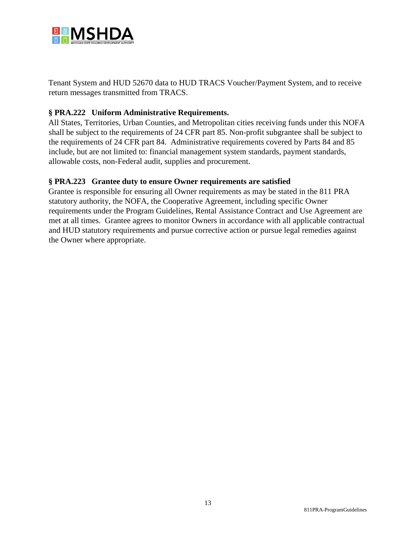

Tenant System and HUD 52670 data to HUD TRACS Voucher/Payment System, and to receive return messages transmitted from TRACS.

# **§ PRA.222 Uniform Administrative Requirements.**

All States, Territories, Urban Counties, and Metropolitan cities receiving funds under this NOFA shall be subject to the requirements of 24 CFR part 85. Non-profit subgrantee shall be subject to the requirements of 24 CFR part 84. Administrative requirements covered by Parts 84 and 85 include, but are not limited to: financial management system standards, payment standards, allowable costs, non-Federal audit, supplies and procurement.

#### **§ PRA.223 Grantee duty to ensure Owner requirements are satisfied**

Grantee is responsible for ensuring all Owner requirements as may be stated in the 811 PRA statutory authority, the NOFA, the Cooperative Agreement, including specific Owner requirements under the Program Guidelines, Rental Assistance Contract and Use Agreement are met at all times. Grantee agrees to monitor Owners in accordance with all applicable contractual and HUD statutory requirements and pursue corrective action or pursue legal remedies against the Owner where appropriate.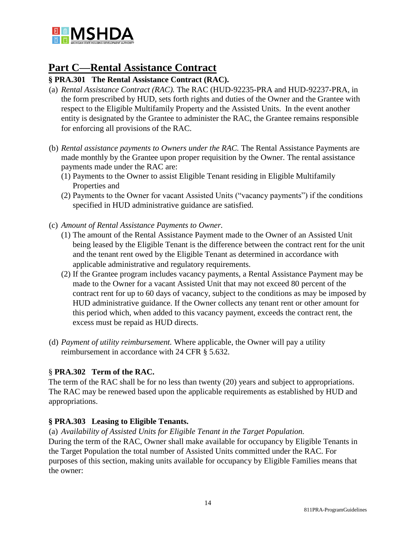

# **Part C—Rental Assistance Contract**

# **§ PRA.301 The Rental Assistance Contract (RAC).**

- (a) *Rental Assistance Contract (RAC).* The RAC (HUD-92235-PRA and HUD-92237-PRA, in the form prescribed by HUD, sets forth rights and duties of the Owner and the Grantee with respect to the Eligible Multifamily Property and the Assisted Units. In the event another entity is designated by the Grantee to administer the RAC, the Grantee remains responsible for enforcing all provisions of the RAC.
- (b) *Rental assistance payments to Owners under the RAC.* The Rental Assistance Payments are made monthly by the Grantee upon proper requisition by the Owner. The rental assistance payments made under the RAC are:
	- (1) Payments to the Owner to assist Eligible Tenant residing in Eligible Multifamily Properties and
	- (2) Payments to the Owner for vacant Assisted Units ("vacancy payments") if the conditions specified in HUD administrative guidance are satisfied.
- (c) *Amount of Rental Assistance Payments to Owner.* 
	- (1) The amount of the Rental Assistance Payment made to the Owner of an Assisted Unit being leased by the Eligible Tenant is the difference between the contract rent for the unit and the tenant rent owed by the Eligible Tenant as determined in accordance with applicable administrative and regulatory requirements.
	- (2) If the Grantee program includes vacancy payments, a Rental Assistance Payment may be made to the Owner for a vacant Assisted Unit that may not exceed 80 percent of the contract rent for up to 60 days of vacancy, subject to the conditions as may be imposed by HUD administrative guidance. If the Owner collects any tenant rent or other amount for this period which, when added to this vacancy payment, exceeds the contract rent, the excess must be repaid as HUD directs.
- (d) *Payment of utility reimbursement.* Where applicable, the Owner will pay a utility reimbursement in accordance with 24 CFR § 5.632.

# § **PRA.302 Term of the RAC.**

The term of the RAC shall be for no less than twenty (20) years and subject to appropriations. The RAC may be renewed based upon the applicable requirements as established by HUD and appropriations.

# **§ PRA.303 Leasing to Eligible Tenants.**

(a) *Availability of Assisted Units for Eligible Tenant in the Target Population.* During the term of the RAC, Owner shall make available for occupancy by Eligible Tenants in the Target Population the total number of Assisted Units committed under the RAC. For purposes of this section, making units available for occupancy by Eligible Families means that the owner: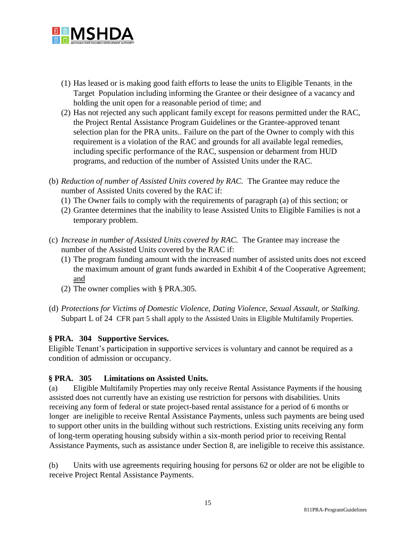

- (1) Has leased or is making good faith efforts to lease the units to Eligible Tenants, in the Target Population including informing the Grantee or their designee of a vacancy and holding the unit open for a reasonable period of time; and
- (2) Has not rejected any such applicant family except for reasons permitted under the RAC, the Project Rental Assistance Program Guidelines or the Grantee-approved tenant selection plan for the PRA units.. Failure on the part of the Owner to comply with this requirement is a violation of the RAC and grounds for all available legal remedies, including specific performance of the RAC, suspension or debarment from HUD programs, and reduction of the number of Assisted Units under the RAC.
- (b) *Reduction of number of Assisted Units covered by RAC.* The Grantee may reduce the number of Assisted Units covered by the RAC if:
	- (1) The Owner fails to comply with the requirements of paragraph (a) of this section; or
	- (2) Grantee determines that the inability to lease Assisted Units to Eligible Families is not a temporary problem.
- (c) *Increase in number of Assisted Units covered by RAC.* The Grantee may increase the number of the Assisted Units covered by the RAC if:
	- (1) The program funding amount with the increased number of assisted units does not exceed the maximum amount of grant funds awarded in Exhibit 4 of the Cooperative Agreement; and
	- (2) The owner complies with § PRA.305.
- (d) *Protections for Victims of Domestic Violence, Dating Violence, Sexual Assault, or Stalking.*  Subpart L of 24 CFR part 5 shall apply to the Assisted Units in Eligible Multifamily Properties.

# **§ PRA. 304 Supportive Services.**

Eligible Tenant's participation in supportive services is voluntary and cannot be required as a condition of admission or occupancy.

#### **§ PRA. 305 Limitations on Assisted Units.**

(a) Eligible Multifamily Properties may only receive Rental Assistance Payments if the housing assisted does not currently have an existing use restriction for persons with disabilities. Units receiving any form of federal or state project-based rental assistance for a period of 6 months or longer are ineligible to receive Rental Assistance Payments, unless such payments are being used to support other units in the building without such restrictions. Existing units receiving any form of long-term operating housing subsidy within a six-month period prior to receiving Rental Assistance Payments, such as assistance under Section 8, are ineligible to receive this assistance.

(b) Units with use agreements requiring housing for persons 62 or older are not be eligible to receive Project Rental Assistance Payments.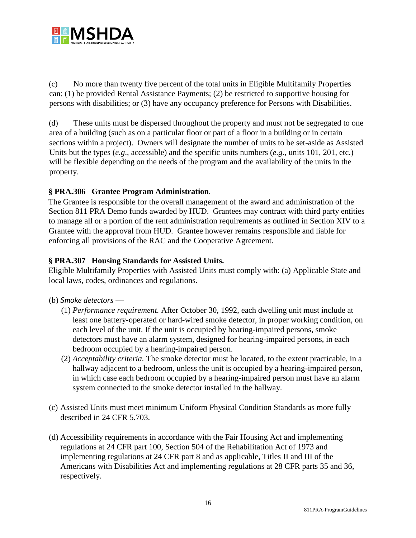

(c) No more than twenty five percent of the total units in Eligible Multifamily Properties can: (1) be provided Rental Assistance Payments; (2) be restricted to supportive housing for persons with disabilities; or (3) have any occupancy preference for Persons with Disabilities.

(d) These units must be dispersed throughout the property and must not be segregated to one area of a building (such as on a particular floor or part of a floor in a building or in certain sections within a project). Owners will designate the number of units to be set-aside as Assisted Units but the types (*e.g*., accessible) and the specific units numbers (*e.g*., units 101, 201, etc.) will be flexible depending on the needs of the program and the availability of the units in the property.

# **§ PRA.306 Grantee Program Administration***.*

The Grantee is responsible for the overall management of the award and administration of the Section 811 PRA Demo funds awarded by HUD. Grantees may contract with third party entities to manage all or a portion of the rent administration requirements as outlined in Section XIV to a Grantee with the approval from HUD. Grantee however remains responsible and liable for enforcing all provisions of the RAC and the Cooperative Agreement.

#### **§ PRA.307 Housing Standards for Assisted Units.**

Eligible Multifamily Properties with Assisted Units must comply with: (a) Applicable State and local laws, codes, ordinances and regulations.

#### (b) *Smoke detectors* —

- (1) *Performance requirement.* After October 30, 1992, each dwelling unit must include at least one battery-operated or hard-wired smoke detector, in proper working condition, on each level of the unit. If the unit is occupied by hearing-impaired persons, smoke detectors must have an alarm system, designed for hearing-impaired persons, in each bedroom occupied by a hearing-impaired person.
- (2) *Acceptability criteria.* The smoke detector must be located, to the extent practicable, in a hallway adjacent to a bedroom, unless the unit is occupied by a hearing-impaired person, in which case each bedroom occupied by a hearing-impaired person must have an alarm system connected to the smoke detector installed in the hallway.
- (c) Assisted Units must meet minimum Uniform Physical Condition Standards as more fully described in 24 CFR 5.703.
- (d) Accessibility requirements in accordance with the Fair Housing Act and implementing regulations at 24 CFR part 100, Section 504 of the Rehabilitation Act of 1973 and implementing regulations at 24 CFR part 8 and as applicable, Titles II and III of the Americans with Disabilities Act and implementing regulations at 28 CFR parts 35 and 36, respectively.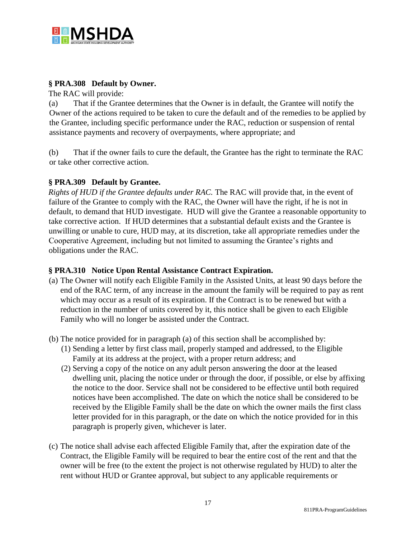

#### **§ PRA.308 Default by Owner.**

The RAC will provide:

(a) That if the Grantee determines that the Owner is in default, the Grantee will notify the Owner of the actions required to be taken to cure the default and of the remedies to be applied by the Grantee, including specific performance under the RAC, reduction or suspension of rental assistance payments and recovery of overpayments, where appropriate; and

(b) That if the owner fails to cure the default, the Grantee has the right to terminate the RAC or take other corrective action.

# **§ PRA.309 Default by Grantee.**

*Rights of HUD if the Grantee defaults under RAC.* The RAC will provide that, in the event of failure of the Grantee to comply with the RAC, the Owner will have the right, if he is not in default, to demand that HUD investigate. HUD will give the Grantee a reasonable opportunity to take corrective action. If HUD determines that a substantial default exists and the Grantee is unwilling or unable to cure, HUD may, at its discretion, take all appropriate remedies under the Cooperative Agreement, including but not limited to assuming the Grantee's rights and obligations under the RAC.

#### **§ PRA.310 Notice Upon Rental Assistance Contract Expiration.**

- (a) The Owner will notify each Eligible Family in the Assisted Units, at least 90 days before the end of the RAC term, of any increase in the amount the family will be required to pay as rent which may occur as a result of its expiration. If the Contract is to be renewed but with a reduction in the number of units covered by it, this notice shall be given to each Eligible Family who will no longer be assisted under the Contract.
- (b) The notice provided for in paragraph (a) of this section shall be accomplished by:
	- (1) Sending a letter by first class mail, properly stamped and addressed, to the Eligible Family at its address at the project, with a proper return address; and
	- (2) Serving a copy of the notice on any adult person answering the door at the leased dwelling unit, placing the notice under or through the door, if possible, or else by affixing the notice to the door. Service shall not be considered to be effective until both required notices have been accomplished. The date on which the notice shall be considered to be received by the Eligible Family shall be the date on which the owner mails the first class letter provided for in this paragraph, or the date on which the notice provided for in this paragraph is properly given, whichever is later.
- (c) The notice shall advise each affected Eligible Family that, after the expiration date of the Contract, the Eligible Family will be required to bear the entire cost of the rent and that the owner will be free (to the extent the project is not otherwise regulated by HUD) to alter the rent without HUD or Grantee approval, but subject to any applicable requirements or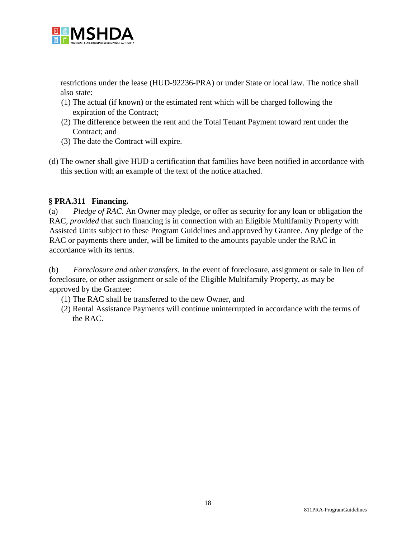

restrictions under the lease (HUD-92236-PRA) or under State or local law. The notice shall also state:

- (1) The actual (if known) or the estimated rent which will be charged following the expiration of the Contract;
- (2) The difference between the rent and the Total Tenant Payment toward rent under the Contract; and
- (3) The date the Contract will expire.
- (d) The owner shall give HUD a certification that families have been notified in accordance with this section with an example of the text of the notice attached.

#### **§ PRA.311 Financing.**

(a) *Pledge of RAC.* An Owner may pledge, or offer as security for any loan or obligation the RAC, *provided* that such financing is in connection with an Eligible Multifamily Property with Assisted Units subject to these Program Guidelines and approved by Grantee. Any pledge of the RAC or payments there under, will be limited to the amounts payable under the RAC in accordance with its terms.

(b) *Foreclosure and other transfers.* In the event of foreclosure, assignment or sale in lieu of foreclosure, or other assignment or sale of the Eligible Multifamily Property, as may be approved by the Grantee:

- (1) The RAC shall be transferred to the new Owner, and
- (2) Rental Assistance Payments will continue uninterrupted in accordance with the terms of the RAC.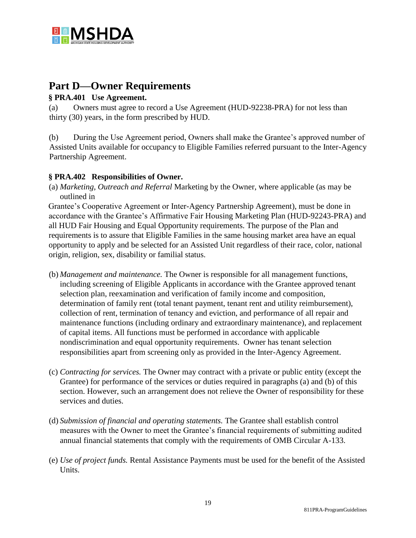

# **Part D—Owner Requirements**

# **§ PRA.401 Use Agreement.**

(a) Owners must agree to record a Use Agreement (HUD-92238-PRA) for not less than thirty (30) years, in the form prescribed by HUD.

(b) During the Use Agreement period, Owners shall make the Grantee's approved number of Assisted Units available for occupancy to Eligible Families referred pursuant to the Inter-Agency Partnership Agreement.

# **§ PRA.402 Responsibilities of Owner.**

(a) *Marketing, Outreach and Referral* Marketing by the Owner, where applicable (as may be outlined in

Grantee's Cooperative Agreement or Inter-Agency Partnership Agreement), must be done in accordance with the Grantee's Affirmative Fair Housing Marketing Plan (HUD-92243-PRA) and all HUD Fair Housing and Equal Opportunity requirements. The purpose of the Plan and requirements is to assure that Eligible Families in the same housing market area have an equal opportunity to apply and be selected for an Assisted Unit regardless of their race, color, national origin, religion, sex, disability or familial status.

- (b) *Management and maintenance.* The Owner is responsible for all management functions, including screening of Eligible Applicants in accordance with the Grantee approved tenant selection plan, reexamination and verification of family income and composition, determination of family rent (total tenant payment, tenant rent and utility reimbursement), collection of rent, termination of tenancy and eviction, and performance of all repair and maintenance functions (including ordinary and extraordinary maintenance), and replacement of capital items. All functions must be performed in accordance with applicable nondiscrimination and equal opportunity requirements. Owner has tenant selection responsibilities apart from screening only as provided in the Inter-Agency Agreement.
- (c) *Contracting for services.* The Owner may contract with a private or public entity (except the Grantee) for performance of the services or duties required in paragraphs (a) and (b) of this section. However, such an arrangement does not relieve the Owner of responsibility for these services and duties.
- (d) *Submission of financial and operating statements.* The Grantee shall establish control measures with the Owner to meet the Grantee's financial requirements of submitting audited annual financial statements that comply with the requirements of OMB Circular A-133.
- (e) *Use of project funds.* Rental Assistance Payments must be used for the benefit of the Assisted Units.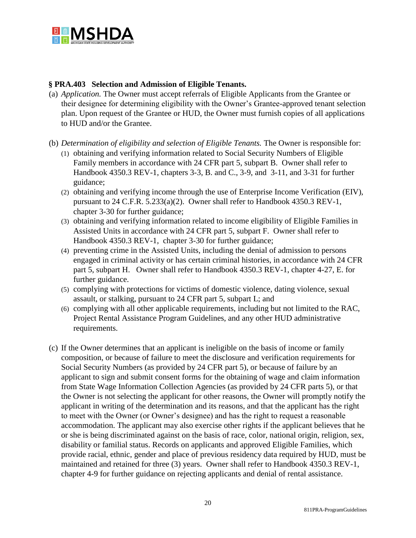

#### **§ PRA.403 Selection and Admission of Eligible Tenants.**

- (a) *Application.* The Owner must accept referrals of Eligible Applicants from the Grantee or their designee for determining eligibility with the Owner's Grantee-approved tenant selection plan. Upon request of the Grantee or HUD, the Owner must furnish copies of all applications to HUD and/or the Grantee.
- (b) *Determination of eligibility and selection of Eligible Tenants.* The Owner is responsible for:
	- (1) obtaining and verifying information related to Social Security Numbers of Eligible Family members in accordance with 24 CFR part 5, subpart B. Owner shall refer to Handbook 4350.3 REV-1, chapters 3-3, B. and C., 3-9, and 3-11, and 3-31 for further guidance;
	- (2) obtaining and verifying income through the use of Enterprise Income Verification (EIV), pursuant to 24 C.F.R. 5.233(a)(2). Owner shall refer to Handbook 4350.3 REV-1, chapter 3-30 for further guidance;
	- (3) obtaining and verifying information related to income eligibility of Eligible Families in Assisted Units in accordance with 24 CFR part 5, subpart F. Owner shall refer to Handbook 4350.3 REV-1, chapter 3-30 for further guidance;
	- (4) preventing crime in the Assisted Units, including the denial of admission to persons engaged in criminal activity or has certain criminal histories, in accordance with 24 CFR part 5, subpart H. Owner shall refer to Handbook 4350.3 REV-1, chapter 4-27, E. for further guidance.
	- (5) complying with protections for victims of domestic violence, dating violence, sexual assault, or stalking, pursuant to 24 CFR part 5, subpart L; and
	- (6) complying with all other applicable requirements, including but not limited to the RAC, Project Rental Assistance Program Guidelines, and any other HUD administrative requirements.
- (c) If the Owner determines that an applicant is ineligible on the basis of income or family composition, or because of failure to meet the disclosure and verification requirements for Social Security Numbers (as provided by 24 CFR part 5), or because of failure by an applicant to sign and submit consent forms for the obtaining of wage and claim information from State Wage Information Collection Agencies (as provided by 24 CFR parts 5), or that the Owner is not selecting the applicant for other reasons, the Owner will promptly notify the applicant in writing of the determination and its reasons, and that the applicant has the right to meet with the Owner (or Owner's designee) and has the right to request a reasonable accommodation. The applicant may also exercise other rights if the applicant believes that he or she is being discriminated against on the basis of race, color, national origin, religion, sex, disability or familial status. Records on applicants and approved Eligible Families, which provide racial, ethnic, gender and place of previous residency data required by HUD, must be maintained and retained for three (3) years. Owner shall refer to Handbook 4350.3 REV-1, chapter 4-9 for further guidance on rejecting applicants and denial of rental assistance.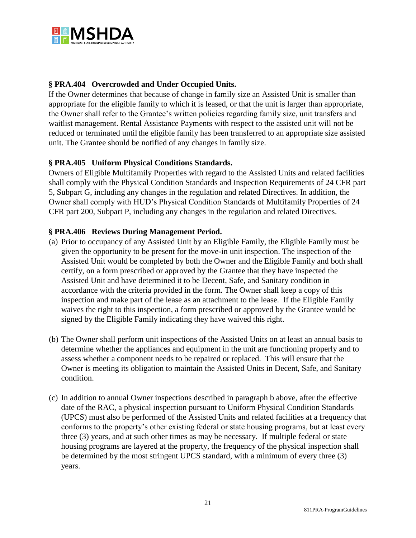

# **§ PRA.404 Overcrowded and Under Occupied Units.**

If the Owner determines that because of change in family size an Assisted Unit is smaller than appropriate for the eligible family to which it is leased, or that the unit is larger than appropriate, the Owner shall refer to the Grantee's written policies regarding family size, unit transfers and waitlist management. Rental Assistance Payments with respect to the assisted unit will not be reduced or terminated until the eligible family has been transferred to an appropriate size assisted unit. The Grantee should be notified of any changes in family size.

# **§ PRA.405 Uniform Physical Conditions Standards.**

Owners of Eligible Multifamily Properties with regard to the Assisted Units and related facilities shall comply with the Physical Condition Standards and Inspection Requirements of 24 CFR part 5, Subpart G, including any changes in the regulation and related Directives. In addition, the Owner shall comply with HUD's Physical Condition Standards of Multifamily Properties of 24 CFR part 200, Subpart P, including any changes in the regulation and related Directives.

#### **§ PRA.406 Reviews During Management Period.**

- (a) Prior to occupancy of any Assisted Unit by an Eligible Family, the Eligible Family must be given the opportunity to be present for the move-in unit inspection. The inspection of the Assisted Unit would be completed by both the Owner and the Eligible Family and both shall certify, on a form prescribed or approved by the Grantee that they have inspected the Assisted Unit and have determined it to be Decent, Safe, and Sanitary condition in accordance with the criteria provided in the form. The Owner shall keep a copy of this inspection and make part of the lease as an attachment to the lease. If the Eligible Family waives the right to this inspection, a form prescribed or approved by the Grantee would be signed by the Eligible Family indicating they have waived this right.
- (b) The Owner shall perform unit inspections of the Assisted Units on at least an annual basis to determine whether the appliances and equipment in the unit are functioning properly and to assess whether a component needs to be repaired or replaced. This will ensure that the Owner is meeting its obligation to maintain the Assisted Units in Decent, Safe, and Sanitary condition.
- (c) In addition to annual Owner inspections described in paragraph b above, after the effective date of the RAC, a physical inspection pursuant to Uniform Physical Condition Standards (UPCS) must also be performed of the Assisted Units and related facilities at a frequency that conforms to the property's other existing federal or state housing programs, but at least every three (3) years, and at such other times as may be necessary. If multiple federal or state housing programs are layered at the property, the frequency of the physical inspection shall be determined by the most stringent UPCS standard, with a minimum of every three (3) years.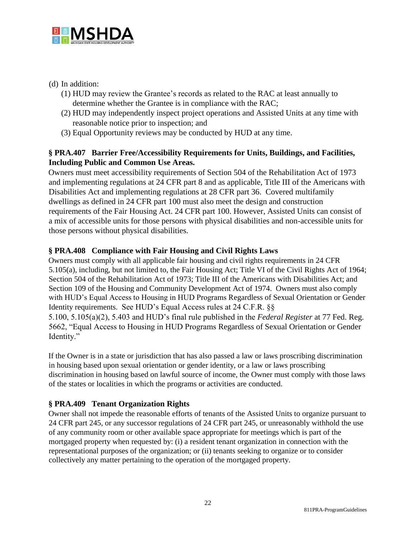

# (d) In addition:

- (1) HUD may review the Grantee's records as related to the RAC at least annually to determine whether the Grantee is in compliance with the RAC;
- (2) HUD may independently inspect project operations and Assisted Units at any time with reasonable notice prior to inspection; and
- (3) Equal Opportunity reviews may be conducted by HUD at any time.

# **§ PRA.407 Barrier Free/Accessibility Requirements for Units, Buildings, and Facilities, Including Public and Common Use Areas.**

Owners must meet accessibility requirements of Section 504 of the Rehabilitation Act of 1973 and implementing regulations at 24 CFR part 8 and as applicable, Title III of the Americans with Disabilities Act and implementing regulations at 28 CFR part 36. Covered multifamily dwellings as defined in 24 CFR part 100 must also meet the design and construction requirements of the Fair Housing Act. 24 CFR part 100. However, Assisted Units can consist of a mix of accessible units for those persons with physical disabilities and non-accessible units for those persons without physical disabilities.

# **§ PRA.408 Compliance with Fair Housing and Civil Rights Laws**

Owners must comply with all applicable fair housing and civil rights requirements in 24 CFR 5.105(a), including, but not limited to, the Fair Housing Act; Title VI of the Civil Rights Act of 1964; Section 504 of the Rehabilitation Act of 1973; Title III of the Americans with Disabilities Act; and Section 109 of the Housing and Community Development Act of 1974. Owners must also comply with HUD's Equal Access to Housing in HUD Programs Regardless of Sexual Orientation or Gender Identity requirements. See HUD's Equal Access rules at 24 C.F.R. §§ 5.100, 5.105(a)(2), 5.403 and HUD's final rule published in the *Federal Register* at 77 Fed. Reg. 5662, "Equal Access to Housing in HUD Programs Regardless of Sexual Orientation or Gender Identity."

If the Owner is in a state or jurisdiction that has also passed a law or laws proscribing discrimination in housing based upon sexual orientation or gender identity, or a law or laws proscribing discrimination in housing based on lawful source of income, the Owner must comply with those laws of the states or localities in which the programs or activities are conducted.

# **§ PRA.409 Tenant Organization Rights**

Owner shall not impede the reasonable efforts of tenants of the Assisted Units to organize pursuant to 24 CFR part 245, or any successor regulations of 24 CFR part 245, or unreasonably withhold the use of any community room or other available space appropriate for meetings which is part of the mortgaged property when requested by: (i) a resident tenant organization in connection with the representational purposes of the organization; or (ii) tenants seeking to organize or to consider collectively any matter pertaining to the operation of the mortgaged property.